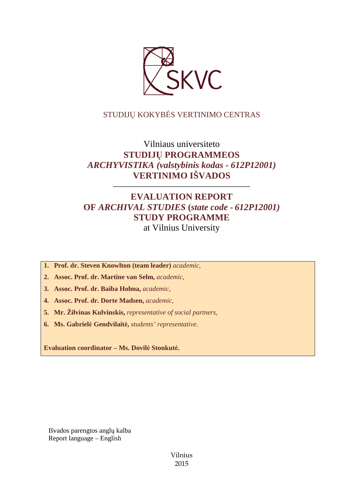

# STUDIJŲ KOKYBĖS VERTINIMO CENTRAS

# Vilniaus universiteto **STUDIJŲ PROGRAMMEOS**  *ARCHYVISTIKA (valstybinis kodas - 612P12001)* **VERTINIMO IŠVADOS**

# **EVALUATION REPORT OF** *ARCHIVAL STUDIES* **(***state code - 612P12001)* **STUDY PROGRAMME** at Vilnius University

––––––––––––––––––––––––––––––

- **1. Prof. dr. Steven Knowlton (team leader)** *academic,*
- **2. Assoc. Prof. dr. Martine van Selm,** *academic,*
- **3. Assoc. Prof. dr. Baiba Holma,** *academic,*
- **4. Assoc. Prof. dr. Dorte Madsen,** *academic,*
- **5. Mr. Žilvinas Kulvinskis,** *representative of social partners,*
- **6. Ms. Gabrielė Gendvilaitė,** *students' representative*.

**Evaluation coordinator – Ms. Dovilė Stonkutė.** 

Išvados parengtos anglų kalba Report language – English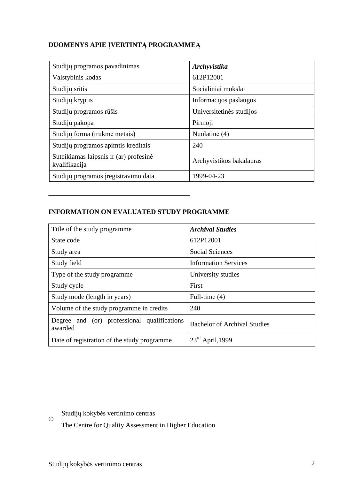# **DUOMENYS APIE ĮVERTINTĄ PROGRAMMEĄ**

| Studijų programos pavadinimas                           | Archyvistika             |
|---------------------------------------------------------|--------------------------|
| Valstybinis kodas                                       | 612P12001                |
| Studijų sritis                                          | Socialiniai mokslai      |
| Studijų kryptis                                         | Informacijos paslaugos   |
| Studijų programos rūšis                                 | Universitetinės studijos |
| Studijų pakopa                                          | Pirmoji                  |
| Studijų forma (trukmė metais)                           | Nuolatinė (4)            |
| Studijų programos apimtis kreditais                     | 240                      |
| Suteikiamas laipsnis ir (ar) profesinė<br>kvalifikacija | Archyvistikos bakalauras |
| Studijų programos įregistravimo data                    | 1999-04-23               |

# **INFORMATION ON EVALUATED STUDY PROGRAMME**

–––––––––––––––––––––––––––––––

| Title of the study programme.                          | <b>Archival Studies</b>             |
|--------------------------------------------------------|-------------------------------------|
| State code                                             | 612P12001                           |
| Study area                                             | <b>Social Sciences</b>              |
| Study field                                            | <b>Information Services</b>         |
| Type of the study programme.                           | University studies                  |
| Study cycle                                            | First                               |
| Study mode (length in years)                           | Full-time (4)                       |
| Volume of the study programme in credits               | 240                                 |
| Degree and (or) professional qualifications<br>awarded | <b>Bachelor of Archival Studies</b> |
| Date of registration of the study programme            | $23rd$ April, 1999                  |

© Studijų kokybės vertinimo centras

The Centre for Quality Assessment in Higher Education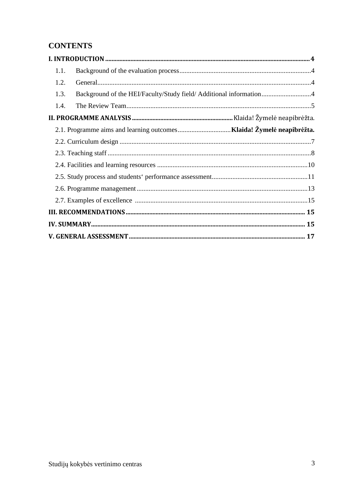# **CONTENTS**

| 1.1. |                                                                    |  |
|------|--------------------------------------------------------------------|--|
| 1.2. |                                                                    |  |
| 1.3. | Background of the HEI/Faculty/Study field/ Additional information4 |  |
| 1.4. |                                                                    |  |
|      |                                                                    |  |
|      |                                                                    |  |
|      |                                                                    |  |
|      |                                                                    |  |
|      |                                                                    |  |
|      |                                                                    |  |
|      |                                                                    |  |
|      |                                                                    |  |
|      |                                                                    |  |
|      |                                                                    |  |
|      |                                                                    |  |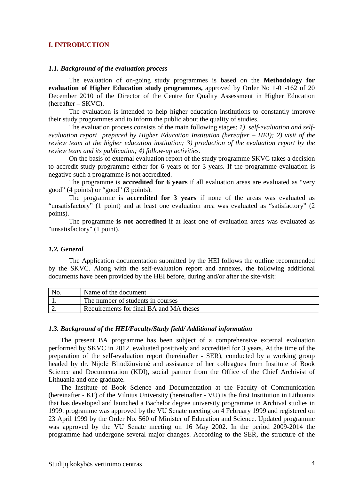### **I. INTRODUCTION**

#### *1.1. Background of the evaluation process*

The evaluation of on-going study programmes is based on the **Methodology for evaluation of Higher Education study programmes,** approved by Order No 1-01-162 of 20 December 2010 of the Director of the Centre for Quality Assessment in Higher Education (hereafter – SKVC).

The evaluation is intended to help higher education institutions to constantly improve their study programmes and to inform the public about the quality of studies.

The evaluation process consists of the main following stages: *1) self-evaluation and selfevaluation report prepared by Higher Education Institution (hereafter – HEI); 2) visit of the review team at the higher education institution; 3) production of the evaluation report by the review team and its publication; 4) follow-up activities.* 

On the basis of external evaluation report of the study programme SKVC takes a decision to accredit study programme either for 6 years or for 3 years. If the programme evaluation is negative such a programme is not accredited.

The programme is **accredited for 6 years** if all evaluation areas are evaluated as "very good" (4 points) or "good" (3 points).

The programme is **accredited for 3 years** if none of the areas was evaluated as "unsatisfactory" (1 point) and at least one evaluation area was evaluated as "satisfactory" (2 points).

The programme **is not accredited** if at least one of evaluation areas was evaluated as "unsatisfactory" (1 point).

### *1.2. General*

The Application documentation submitted by the HEI follows the outline recommended by the SKVC. Along with the self-evaluation report and annexes, the following additional documents have been provided by the HEI before, during and/or after the site-visit:

| N <sub>0</sub> | Name of the document                    |
|----------------|-----------------------------------------|
|                | The number of students in courses       |
| <u>.</u>       | Requirements for final BA and MA theses |

#### *1.3. Background of the HEI/Faculty/Study field/ Additional information*

The present BA programme has been subject of a comprehensive external evaluation performed by SKVC in 2012, evaluated positively and accredited for 3 years. At the time of the preparation of the self-evaluation report (hereinafter - SER), conducted by a working group headed by dr. Nijolė Bliūdžiuvienė and assistance of her colleagues from Institute of Book Science and Documentation (KDI), social partner from the Office of the Chief Archivist of Lithuania and one graduate.

The Institute of Book Science and Documentation at the Faculty of Communication (hereinafter - KF) of the Vilnius University (hereinafter - VU) is the first Institution in Lithuania that has developed and launched a Bachelor degree university programme in Archival studies in 1999: programme was approved by the VU Senate meeting on 4 February 1999 and registered on 23 April 1999 by the Order No. 560 of Minister of Education and Science. Updated programme was approved by the VU Senate meeting on 16 May 2002. In the period 2009-2014 the programme had undergone several major changes. According to the SER, the structure of the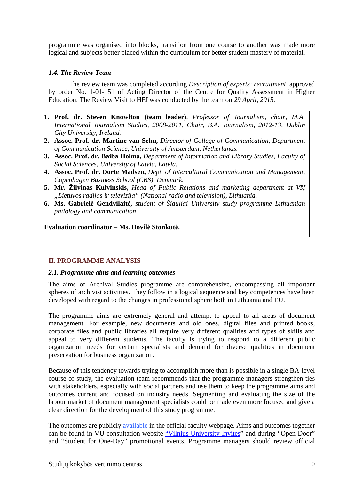programme was organised into blocks, transition from one course to another was made more logical and subjects better placed within the curriculum for better student mastery of material.

# *1.4. The Review Team*

The review team was completed according *Description of experts' recruitment*, approved by order No. 1-01-151 of Acting Director of the Centre for Quality Assessment in Higher Education. The Review Visit to HEI was conducted by the team on *29 April, 2015.* 

- **1. Prof. dr. Steven Knowlton (team leader)**, *Professor of Journalism, chair, M.A. International Journalism Studies, 2008-2011, Chair, B.A. Journalism, 2012-13, Dublin City University, Ireland.*
- **2. Assoc. Prof. dr. Martine van Selm,** *Director of College of Communication, Department of Communication Science, University of Amsterdam, Netherlands.*
- **3. Assoc. Prof. dr. Baiba Holma,** *Department of Information and Library Studies, Faculty of Social Sciences, University of Latvia, Latvia.*
- **4. Assoc. Prof. dr. Dorte Madsen,** *Dept. of Intercultural Communication and Management, Copenhagen Business School (CBS), Denmark.*
- **5. Mr. Žilvinas Kulvinskis,** *Head of Public Relations and marketing department at VšĮ "Lietuvos radijas ir televizija" (National radio and television), Lithuania.*
- **6. Ms. Gabrielė Gendvilaitė,** *student of Šiauliai University study programme Lithuanian philology and communication*.

**Evaluation coordinator – Ms. Dovilė Stonkutė.** 

# **II. PROGRAMME ANALYSIS**

### *2.1. Programme aims and learning outcomes*

The aims of Archival Studies programme are comprehensive, encompassing all important spheres of archivist activities. They follow in a logical sequence and key competences have been developed with regard to the changes in professional sphere both in Lithuania and EU.

The programme aims are extremely general and attempt to appeal to all areas of document management. For example, new documents and old ones, digital files and printed books, corporate files and public libraries all require very different qualities and types of skills and appeal to very different students. The faculty is trying to respond to a different public organization needs for certain specialists and demand for diverse qualities in document preservation for business organization.

Because of this tendency towards trying to accomplish more than is possible in a single BA-level course of study, the evaluation team recommends that the programme managers strengthen ties with stakeholders, especially with social partners and use them to keep the programme aims and outcomes current and focused on industry needs. Segmenting and evaluating the size of the labour market of document management specialists could be made even more focused and give a clear direction for the development of this study programme.

The outcomes are publicly available in the official faculty webpage. Aims and outcomes together can be found in VU consultation website "Vilnius University Invites" and during "Open Door" and "Student for One-Day" promotional events. Programme managers should review official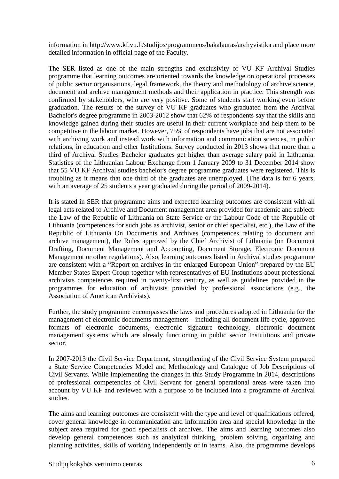information in http://www.kf.vu.lt/studijos/programmeos/bakalauras/archyvistika and place more detailed information in official page of the Faculty.

The SER listed as one of the main strengths and exclusivity of VU KF Archival Studies programme that learning outcomes are oriented towards the knowledge on operational processes of public sector organisations, legal framework, the theory and methodology of archive science, document and archive management methods and their application in practice. This strength was confirmed by stakeholders, who are very positive. Some of students start working even before graduation. The results of the survey of VU KF graduates who graduated from the Archival Bachelor's degree programme in 2003-2012 show that 62% of respondents say that the skills and knowledge gained during their studies are useful in their current workplace and help them to be competitive in the labour market. However, 75% of respondents have jobs that are not associated with archiving work and instead work with information and communication sciences, in public relations, in education and other Institutions. Survey conducted in 2013 shows that more than a third of Archival Studies Bachelor graduates get higher than average salary paid in Lithuania. Statistics of the Lithuanian Labour Exchange from 1 January 2009 to 31 December 2014 show that 55 VU KF Archival studies bachelor's degree programme graduates were registered. This is troubling as it means that one third of the graduates are unemployed. (The data is for 6 years, with an average of 25 students a year graduated during the period of 2009-2014).

It is stated in SER that programme aims and expected learning outcomes are consistent with all legal acts related to Archive and Document management area provided for academic and subject: the Law of the Republic of Lithuania on State Service or the Labour Code of the Republic of Lithuania (competences for such jobs as archivist, senior or chief specialist, etc.), the Law of the Republic of Lithuania On Documents and Archives (competences relating to document and archive management), the Rules approved by the Chief Archivist of Lithuania (on Document Drafting, Document Management and Accounting, Document Storage, Electronic Document Management or other regulations). Also, learning outcomes listed in Archival studies programme are consistent with a "Report on archives in the enlarged European Union" prepared by the EU Member States Expert Group together with representatives of EU Institutions about professional archivists competences required in twenty-first century, as well as guidelines provided in the programmes for education of archivists provided by professional associations (e.g., the Association of American Archivists).

Further, the study programme encompasses the laws and procedures adopted in Lithuania for the management of electronic documents management – including all document life cycle, approved formats of electronic documents, electronic signature technology, electronic document management systems which are already functioning in public sector Institutions and private sector.

In 2007-2013 the Civil Service Department, strengthening of the Civil Service System prepared a State Service Competencies Model and Methodology and Catalogue of Job Descriptions of Civil Servants. While implementing the changes in this Study Programme in 2014, descriptions of professional competencies of Civil Servant for general operational areas were taken into account by VU KF and reviewed with a purpose to be included into a programme of Archival studies.

The aims and learning outcomes are consistent with the type and level of qualifications offered, cover general knowledge in communication and information area and special knowledge in the subject area required for good specialists of archives. The aims and learning outcomes also develop general competences such as analytical thinking, problem solving, organizing and planning activities, skills of working independently or in teams. Also, the programme develops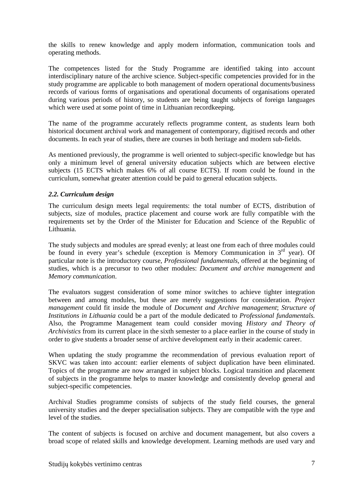the skills to renew knowledge and apply modern information, communication tools and operating methods.

The competences listed for the Study Programme are identified taking into account interdisciplinary nature of the archive science. Subject-specific competencies provided for in the study programme are applicable to both management of modern operational documents/business records of various forms of organisations and operational documents of organisations operated during various periods of history, so students are being taught subjects of foreign languages which were used at some point of time in Lithuanian recordkeeping.

The name of the programme accurately reflects programme content, as students learn both historical document archival work and management of contemporary, digitised records and other documents. In each year of studies, there are courses in both heritage and modern sub-fields.

As mentioned previously, the programme is well oriented to subject-specific knowledge but has only a minimum level of general university education subjects which are between elective subjects (15 ECTS which makes 6% of all course ECTS). If room could be found in the curriculum, somewhat greater attention could be paid to general education subjects.

# *2.2. Curriculum design*

The curriculum design meets legal requirements: the total number of ECTS, distribution of subjects, size of modules, practice placement and course work are fully compatible with the requirements set by the Order of the Minister for Education and Science of the Republic of Lithuania.

The study subjects and modules are spread evenly; at least one from each of three modules could be found in every year's schedule (exception is Memory Communication in 3<sup>rd</sup> year). Of particular note is the introductory course, *Professional fundamentals,* offered at the beginning of studies, which is a precursor to two other modules: *Document and archive management* and *Memory communication*.

The evaluators suggest consideration of some minor switches to achieve tighter integration between and among modules, but these are merely suggestions for consideration. *Project management* could fit inside the module of *Document and Archive management*; *Structure of Institutions in Lithuania* could be a part of the module dedicated to *Professional fundamentals.*  Also, the Programme Management team could consider moving *History and Theory of Archivistics* from its current place in the sixth semester to a place earlier in the course of study in order to give students a broader sense of archive development early in their academic career.

When updating the study programme the recommendation of previous evaluation report of SKVC was taken into account: earlier elements of subject duplication have been eliminated. Topics of the programme are now arranged in subject blocks. Logical transition and placement of subjects in the programme helps to master knowledge and consistently develop general and subject-specific competencies.

Archival Studies programme consists of subjects of the study field courses, the general university studies and the deeper specialisation subjects. They are compatible with the type and level of the studies.

The content of subjects is focused on archive and document management, but also covers a broad scope of related skills and knowledge development. Learning methods are used vary and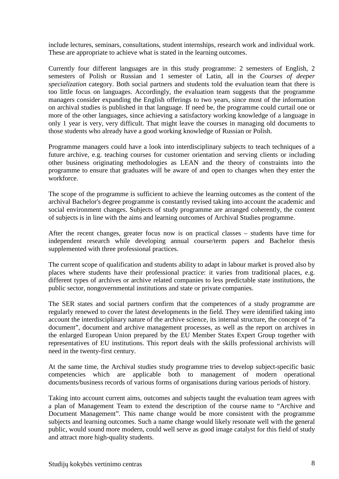include lectures, seminars, consultations, student internships, research work and individual work. These are appropriate to achieve what is stated in the learning outcomes.

Currently four different languages are in this study programme: 2 semesters of English, 2 semesters of Polish or Russian and 1 semester of Latin, all in the *Courses of deeper specialization* category. Both social partners and students told the evaluation team that there is too little focus on languages. Accordingly, the evaluation team suggests that the programme managers consider expanding the English offerings to two years, since most of the information on archival studies is published in that language. If need be, the programme could curtail one or more of the other languages, since achieving a satisfactory working knowledge of a language in only 1 year is very, very difficult. That might leave the courses in managing old documents to those students who already have a good working knowledge of Russian or Polish.

Programme managers could have a look into interdisciplinary subjects to teach techniques of a future archive, e.g. teaching courses for customer orientation and serving clients or including other business originating methodologies as LEAN and the theory of constraints into the programme to ensure that graduates will be aware of and open to changes when they enter the workforce.

The scope of the programme is sufficient to achieve the learning outcomes as the content of the archival Bachelor's degree programme is constantly revised taking into account the academic and social environment changes. Subjects of study programme are arranged coherently, the content of subjects is in line with the aims and learning outcomes of Archival Studies programme.

After the recent changes, greater focus now is on practical classes – students have time for independent research while developing annual course/term papers and Bachelor thesis supplemented with three professional practices.

The current scope of qualification and students ability to adapt in labour market is proved also by places where students have their professional practice: it varies from traditional places, e.g. different types of archives or archive related companies to less predictable state institutions, the public sector, nongovernmental institutions and state or private companies.

The SER states and social partners confirm that the competences of a study programme are regularly renewed to cover the latest developments in the field. They were identified taking into account the interdisciplinary nature of the archive science, its internal structure, the concept of "a document", document and archive management processes, as well as the report on archives in the enlarged European Union prepared by the EU Member States Expert Group together with representatives of EU institutions. This report deals with the skills professional archivists will need in the twenty-first century.

At the same time, the Archival studies study programme tries to develop subject-specific basic competencies which are applicable both to management of modern operational documents/business records of various forms of organisations during various periods of history.

Taking into account current aims, outcomes and subjects taught the evaluation team agrees with a plan of Management Team to extend the description of the course name to "Archive and Document Management". This name change would be more consistent with the programme subjects and learning outcomes. Such a name change would likely resonate well with the general public, would sound more modern, could well serve as good image catalyst for this field of study and attract more high-quality students.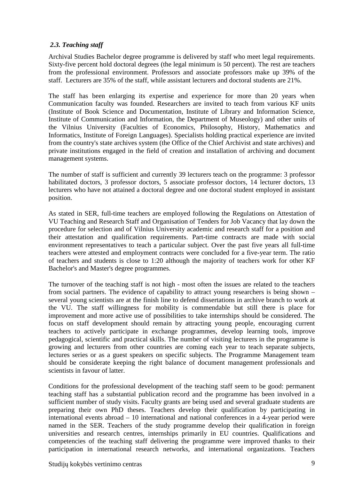# *2.3. Teaching staff*

Archival Studies Bachelor degree programme is delivered by staff who meet legal requirements. Sixty-five percent hold doctoral degrees (the legal minimum is 50 percent). The rest are teachers from the professional environment. Professors and associate professors make up 39% of the staff. Lecturers are 35% of the staff, while assistant lecturers and doctoral students are 21%.

The staff has been enlarging its expertise and experience for more than 20 years when Communication faculty was founded. Researchers are invited to teach from various KF units (Institute of Book Science and Documentation, Institute of Library and Information Science, Institute of Communication and Information, the Department of Museology) and other units of the Vilnius University (Faculties of Economics, Philosophy, History, Mathematics and Informatics, Institute of Foreign Languages). Specialists holding practical experience are invited from the country's state archives system (the Office of the Chief Archivist and state archives) and private institutions engaged in the field of creation and installation of archiving and document management systems.

The number of staff is sufficient and currently 39 lecturers teach on the programme: 3 professor habilitated doctors, 3 professor doctors, 5 associate professor doctors, 14 lecturer doctors, 13 lecturers who have not attained a doctoral degree and one doctoral student employed in assistant position.

As stated in SER, full-time teachers are employed following the Regulations on Attestation of VU Teaching and Research Staff and Organisation of Tenders for Job Vacancy that lay down the procedure for selection and of Vilnius University academic and research staff for a position and their attestation and qualification requirements. Part-time contracts are made with social environment representatives to teach a particular subject. Over the past five years all full-time teachers were attested and employment contracts were concluded for a five-year term. The ratio of teachers and students is close to 1:20 although the majority of teachers work for other KF Bachelor's and Master's degree programmes.

The turnover of the teaching staff is not high - most often the issues are related to the teachers from social partners. The evidence of capability to attract young researchers is being shown – several young scientists are at the finish line to defend dissertations in archive branch to work at the VU. The staff willingness for mobility is commendable but still there is place for improvement and more active use of possibilities to take internships should be considered. The focus on staff development should remain by attracting young people, encouraging current teachers to actively participate in exchange programmes, develop learning tools, improve pedagogical, scientific and practical skills. The number of visiting lecturers in the programme is growing and lecturers from other countries are coming each year to teach separate subjects, lectures series or as a guest speakers on specific subjects. The Programme Management team should be considerate keeping the right balance of document management professionals and scientists in favour of latter.

Conditions for the professional development of the teaching staff seem to be good: permanent teaching staff has a substantial publication record and the programme has been involved in a sufficient number of study visits. Faculty grants are being used and several graduate students are preparing their own PhD theses. Teachers develop their qualification by participating in international events abroad – 10 international and national conferences in a 4-year period were named in the SER. Teachers of the study programme develop their qualification in foreign universities and research centres, internships primarily in EU countries. Qualifications and competencies of the teaching staff delivering the programme were improved thanks to their participation in international research networks, and international organizations. Teachers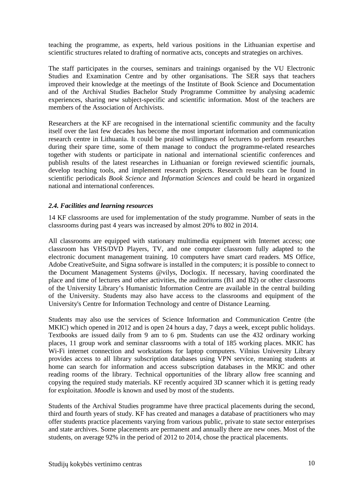teaching the programme, as experts, held various positions in the Lithuanian expertise and scientific structures related to drafting of normative acts, concepts and strategies on archives.

The staff participates in the courses, seminars and trainings organised by the VU Electronic Studies and Examination Centre and by other organisations. The SER says that teachers improved their knowledge at the meetings of the Institute of Book Science and Documentation and of the Archival Studies Bachelor Study Programme Committee by analysing academic experiences, sharing new subject-specific and scientific information. Most of the teachers are members of the Association of Archivists.

Researchers at the KF are recognised in the international scientific community and the faculty itself over the last few decades has become the most important information and communication research centre in Lithuania. It could be praised willingness of lecturers to perform researches during their spare time, some of them manage to conduct the programme-related researches together with students or participate in national and international scientific conferences and publish results of the latest researches in Lithuanian or foreign reviewed scientific journals, develop teaching tools, and implement research projects. Research results can be found in scientific periodicals *Book Science* and *Information Sciences* and could be heard in organized national and international conferences.

# *2.4. Facilities and learning resources*

14 KF classrooms are used for implementation of the study programme. Number of seats in the classrooms during past 4 years was increased by almost 20% to 802 in 2014.

All classrooms are equipped with stationary multimedia equipment with Internet access; one classroom has VHS/DVD Players, TV, and one computer classroom fully adapted to the electronic document management training. 10 computers have smart card readers. MS Office, Adobe CreativeSuite, and Signa software is installed in the computers; it is possible to connect to the Document Management Systems @vilys, Doclogix. If necessary, having coordinated the place and time of lectures and other activities, the auditoriums (B1 and B2) or other classrooms of the University Library's Humanistic Information Centre are available in the central building of the University. Students may also have access to the classrooms and equipment of the University's Centre for Information Technology and centre of Distance Learning.

Students may also use the services of Science Information and Communication Centre (the MKIC) which opened in 2012 and is open 24 hours a day, 7 days a week, except public holidays. Textbooks are issued daily from 9 am to 6 pm. Students can use the 432 ordinary working places, 11 group work and seminar classrooms with a total of 185 working places. MKIC has Wi-Fi internet connection and workstations for laptop computers. Vilnius University Library provides access to all library subscription databases using VPN service, meaning students at home can search for information and access subscription databases in the MKIC and other reading rooms of the library. Technical opportunities of the library allow free scanning and copying the required study materials. KF recently acquired 3D scanner which it is getting ready for exploitation. *Moodle* is known and used by most of the students.

Students of the Archival Studies programme have three practical placements during the second, third and fourth years of study. KF has created and manages a database of practitioners who may offer students practice placements varying from various public, private to state sector enterprises and state archives. Some placements are permanent and annually there are new ones. Most of the students, on average 92% in the period of 2012 to 2014, chose the practical placements.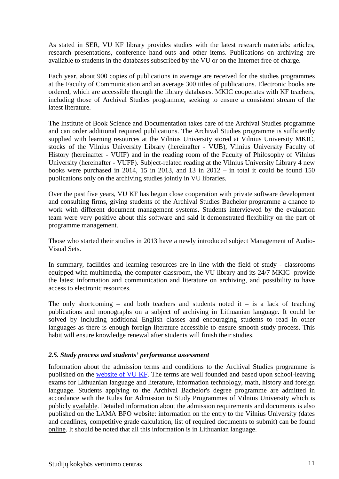As stated in SER, VU KF library provides studies with the latest research materials: articles, research presentations, conference hand-outs and other items. Publications on archiving are available to students in the databases subscribed by the VU or on the Internet free of charge.

Each year, about 900 copies of publications in average are received for the studies programmes at the Faculty of Communication and an average 300 titles of publications. Electronic books are ordered, which are accessible through the library databases. MKIC cooperates with KF teachers, including those of Archival Studies programme, seeking to ensure a consistent stream of the latest literature.

The Institute of Book Science and Documentation takes care of the Archival Studies programme and can order additional required publications. The Archival Studies programme is sufficiently supplied with learning resources at the Vilnius University stored at Vilnius University MKIC, stocks of the Vilnius University Library (hereinafter - VUB), Vilnius University Faculty of History (hereinafter - VUIF) and in the reading room of the Faculty of Philosophy of Vilnius University (hereinafter - VUFF). Subject-related reading at the Vilnius University Library 4 new books were purchased in 2014, 15 in 2013, and 13 in  $2012 -$  in total it could be found 150 publications only on the archiving studies jointly in VU libraries.

Over the past five years, VU KF has begun close cooperation with private software development and consulting firms, giving students of the Archival Studies Bachelor programme a chance to work with different document management systems. Students interviewed by the evaluation team were very positive about this software and said it demonstrated flexibility on the part of programme management.

Those who started their studies in 2013 have a newly introduced subject Management of Audio-Visual Sets.

In summary, facilities and learning resources are in line with the field of study - classrooms equipped with multimedia, the computer classroom, the VU library and its 24/7 MKIC provide the latest information and communication and literature on archiving, and possibility to have access to electronic resources.

The only shortcoming – and both teachers and students noted it – is a lack of teaching publications and monographs on a subject of archiving in Lithuanian language. It could be solved by including additional English classes and encouraging students to read in other languages as there is enough foreign literature accessible to ensure smooth study process. This habit will ensure knowledge renewal after students will finish their studies.

# *2.5. Study process and students' performance assessment*

Information about the admission terms and conditions to the Archival Studies programme is published on the website of VU KF. The terms are well founded and based upon school-leaving exams for Lithuanian language and literature, information technology, math, history and foreign language. Students applying to the Archival Bachelor's degree programme are admitted in accordance with the Rules for Admission to Study Programmes of Vilnius University which is publicly available. Detailed information about the admission requirements and documents is also published on the LAMA BPO website: information on the entry to the Vilnius University (dates and deadlines, competitive grade calculation, list of required documents to submit) can be found online. It should be noted that all this information is in Lithuanian language.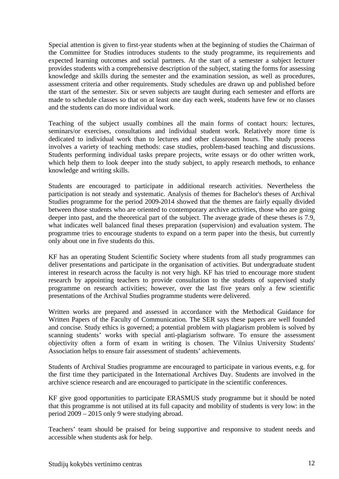Special attention is given to first-year students when at the beginning of studies the Chairman of the Committee for Studies introduces students to the study programme, its requirements and expected learning outcomes and social partners. At the start of a semester a subject lecturer provides students with a comprehensive description of the subject, stating the forms for assessing knowledge and skills during the semester and the examination session, as well as procedures, assessment criteria and other requirements. Study schedules are drawn up and published before the start of the semester. Six or seven subjects are taught during each semester and efforts are made to schedule classes so that on at least one day each week, students have few or no classes and the students can do more individual work.

Teaching of the subject usually combines all the main forms of contact hours: lectures, seminars/or exercises, consultations and individual student work. Relatively more time is dedicated to individual work than to lectures and other classroom hours. The study process involves a variety of teaching methods: case studies, problem-based teaching and discussions. Students performing individual tasks prepare projects, write essays or do other written work, which help them to look deeper into the study subject, to apply research methods, to enhance knowledge and writing skills.

Students are encouraged to participate in additional research activities. Nevertheless the participation is not steady and systematic. Analysis of themes for Bachelor's theses of Archival Studies programme for the period 2009-2014 showed that the themes are fairly equally divided between those students who are oriented to contemporary archive activities, those who are going deeper into past, and the theoretical part of the subject. The average grade of these theses is 7.9, what indicates well balanced final theses preparation (supervision) and evaluation system. The programme tries to encourage students to expand on a term paper into the thesis, but currently only about one in five students do this.

KF has an operating Student Scientific Society where students from all study programmes can deliver presentations and participate in the organisation of activities. But undergraduate student interest in research across the faculty is not very high. KF has tried to encourage more student research by appointing teachers to provide consultation to the students of supervised study programme on research activities; however, over the last five years only a few scientific presentations of the Archival Studies programme students were delivered.

Written works are prepared and assessed in accordance with the Methodical Guidance for Written Papers of the Faculty of Communication. The SER says these papers are well founded and concise. Study ethics is governed; a potential problem with plagiarism problem is solved by scanning students' works with special anti-plagiarism software. To ensure the assessment objectivity often a form of exam in writing is chosen. The Vilnius University Students' Association helps to ensure fair assessment of students' achievements.

Students of Archival Studies programme are encouraged to participate in various events, e.g. for the first time they participated in the International Archives Day. Students are involved in the archive science research and are encouraged to participate in the scientific conferences.

KF give good opportunities to participate ERASMUS study programme but it should be noted that this programme is not utilised at its full capacity and mobility of students is very low: in the period 2009 – 2015 only 9 were studying abroad.

Teachers' team should be praised for being supportive and responsive to student needs and accessible when students ask for help.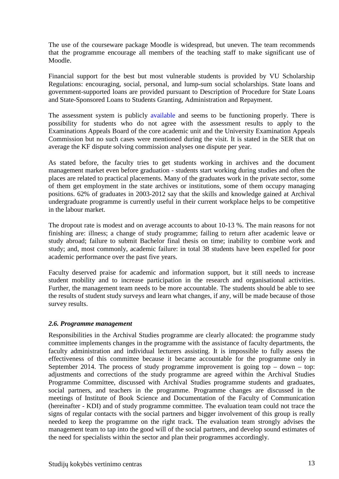The use of the courseware package Moodle is widespread, but uneven. The team recommends that the programme encourage all members of the teaching staff to make significant use of Moodle.

Financial support for the best but most vulnerable students is provided by VU Scholarship Regulations: encouraging, social, personal, and lump-sum social scholarships. State loans and government-supported loans are provided pursuant to Description of Procedure for State Loans and State-Sponsored Loans to Students Granting, Administration and Repayment.

The assessment system is publicly available and seems to be functioning properly. There is possibility for students who do not agree with the assessment results to apply to the Examinations Appeals Board of the core academic unit and the University Examination Appeals Commission but no such cases were mentioned during the visit. It is stated in the SER that on average the KF dispute solving commission analyses one dispute per year.

As stated before, the faculty tries to get students working in archives and the document management market even before graduation - students start working during studies and often the places are related to practical placements. Many of the graduates work in the private sector, some of them get employment in the state archives or institutions, some of them occupy managing positions. 62% of graduates in 2003-2012 say that the skills and knowledge gained at Archival undergraduate programme is currently useful in their current workplace helps to be competitive in the labour market.

The dropout rate is modest and on average accounts to about 10-13 %. The main reasons for not finishing are: illness; a change of study programme; failing to return after academic leave or study abroad; failure to submit Bachelor final thesis on time; inability to combine work and study; and, most commonly, academic failure: in total 38 students have been expelled for poor academic performance over the past five years.

Faculty deserved praise for academic and information support, but it still needs to increase student mobility and to increase participation in the research and organisational activities. Further, the management team needs to be more accountable. The students should be able to see the results of student study surveys and learn what changes, if any, will be made because of those survey results.

# *2.6. Programme management*

Responsibilities in the Archival Studies programme are clearly allocated: the programme study committee implements changes in the programme with the assistance of faculty departments, the faculty administration and individual lecturers assisting. It is impossible to fully assess the effectiveness of this committee because it became accountable for the programme only in September 2014. The process of study programme improvement is going top  $-$  down  $-$  top: adjustments and corrections of the study programme are agreed within the Archival Studies Programme Committee, discussed with Archival Studies programme students and graduates, social partners, and teachers in the programme. Programme changes are discussed in the meetings of Institute of Book Science and Documentation of the Faculty of Communication (hereinafter - KDI) and of study programme committee. The evaluation team could not trace the signs of regular contacts with the social partners and bigger involvement of this group is really needed to keep the programme on the right track. The evaluation team strongly advises the management team to tap into the good will of the social partners, and develop sound estimates of the need for specialists within the sector and plan their programmes accordingly.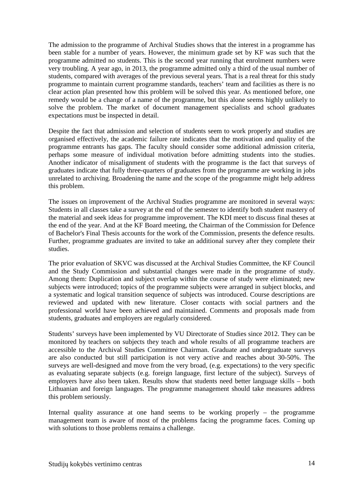The admission to the programme of Archival Studies shows that the interest in a programme has been stable for a number of years. However, the minimum grade set by KF was such that the programme admitted no students. This is the second year running that enrolment numbers were very troubling. A year ago, in 2013, the programme admitted only a third of the usual number of students, compared with averages of the previous several years. That is a real threat for this study programme to maintain current programme standards, teachers' team and facilities as there is no clear action plan presented how this problem will be solved this year. As mentioned before, one remedy would be a change of a name of the programme, but this alone seems highly unlikely to solve the problem. The market of document management specialists and school graduates expectations must be inspected in detail.

Despite the fact that admission and selection of students seem to work properly and studies are organised effectively, the academic failure rate indicates that the motivation and quality of the programme entrants has gaps. The faculty should consider some additional admission criteria, perhaps some measure of individual motivation before admitting students into the studies. Another indicator of misalignment of students with the programme is the fact that surveys of graduates indicate that fully three-quarters of graduates from the programme are working in jobs unrelated to archiving. Broadening the name and the scope of the programme might help address this problem.

The issues on improvement of the Archival Studies programme are monitored in several ways: Students in all classes take a survey at the end of the semester to identify both student mastery of the material and seek ideas for programme improvement. The KDI meet to discuss final theses at the end of the year. And at the KF Board meeting, the Chairman of the Commission for Defence of Bachelor's Final Thesis accounts for the work of the Commission, presents the defence results. Further, programme graduates are invited to take an additional survey after they complete their studies.

The prior evaluation of SKVC was discussed at the Archival Studies Committee, the KF Council and the Study Commission and substantial changes were made in the programme of study. Among them: Duplication and subject overlap within the course of study were eliminated; new subjects were introduced; topics of the programme subjects were arranged in subject blocks, and a systematic and logical transition sequence of subjects was introduced. Course descriptions are reviewed and updated with new literature. Closer contacts with social partners and the professional world have been achieved and maintained. Comments and proposals made from students, graduates and employers are regularly considered.

Students' surveys have been implemented by VU Directorate of Studies since 2012. They can be monitored by teachers on subjects they teach and whole results of all programme teachers are accessible to the Archival Studies Committee Chairman. Graduate and undergraduate surveys are also conducted but still participation is not very active and reaches about 30-50%. The surveys are well-designed and move from the very broad, (e.g. expectations) to the very specific as evaluating separate subjects (e.g. foreign language, first lecture of the subject). Surveys of employers have also been taken. Results show that students need better language skills – both Lithuanian and foreign languages. The programme management should take measures address this problem seriously.

Internal quality assurance at one hand seems to be working properly – the programme management team is aware of most of the problems facing the programme faces. Coming up with solutions to those problems remains a challenge.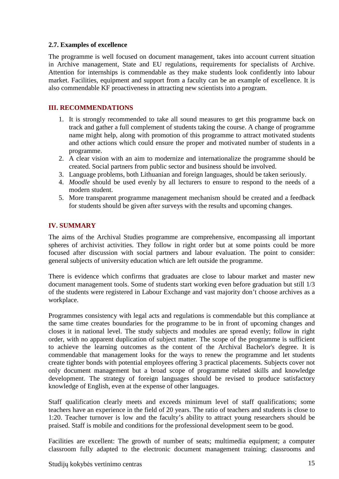# **2.7. Examples of excellence**

The programme is well focused on document management, takes into account current situation in Archive management, State and EU regulations, requirements for specialists of Archive. Attention for internships is commendable as they make students look confidently into labour market. Facilities, equipment and support from a faculty can be an example of excellence. It is also commendable KF proactiveness in attracting new scientists into a program.

# **III. RECOMMENDATIONS**

- 1. It is strongly recommended to take all sound measures to get this programme back on track and gather a full complement of students taking the course. A change of programme name might help, along with promotion of this programme to attract motivated students and other actions which could ensure the proper and motivated number of students in a programme.
- 2. A clear vision with an aim to modernize and internationalize the programme should be created. Social partners from public sector and business should be involved.
- 3. Language problems, both Lithuanian and foreign languages, should be taken seriously.
- 4. *Moodle* should be used evenly by all lecturers to ensure to respond to the needs of a modern student.
- 5. More transparent programme management mechanism should be created and a feedback for students should be given after surveys with the results and upcoming changes.

# **IV. SUMMARY**

The aims of the Archival Studies programme are comprehensive, encompassing all important spheres of archivist activities. They follow in right order but at some points could be more focused after discussion with social partners and labour evaluation. The point to consider: general subjects of university education which are left outside the programme.

There is evidence which confirms that graduates are close to labour market and master new document management tools. Some of students start working even before graduation but still 1/3 of the students were registered in Labour Exchange and vast majority don't choose archives as a workplace.

Programmes consistency with legal acts and regulations is commendable but this compliance at the same time creates boundaries for the programme to be in front of upcoming changes and closes it in national level. The study subjects and modules are spread evenly; follow in right order, with no apparent duplication of subject matter. The scope of the programme is sufficient to achieve the learning outcomes as the content of the Archival Bachelor's degree. It is commendable that management looks for the ways to renew the programme and let students create tighter bonds with potential employees offering 3 practical placements. Subjects cover not only document management but a broad scope of programme related skills and knowledge development. The strategy of foreign languages should be revised to produce satisfactory knowledge of English, even at the expense of other languages.

Staff qualification clearly meets and exceeds minimum level of staff qualifications; some teachers have an experience in the field of 20 years. The ratio of teachers and students is close to 1:20. Teacher turnover is low and the faculty's ability to attract young researchers should be praised. Staff is mobile and conditions for the professional development seem to be good.

Facilities are excellent: The growth of number of seats; multimedia equipment; a computer classroom fully adapted to the electronic document management training; classrooms and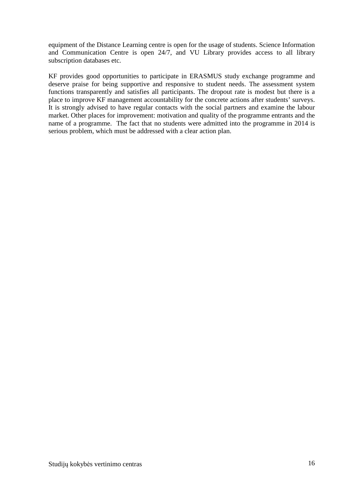equipment of the Distance Learning centre is open for the usage of students. Science Information and Communication Centre is open 24/7, and VU Library provides access to all library subscription databases etc.

KF provides good opportunities to participate in ERASMUS study exchange programme and deserve praise for being supportive and responsive to student needs. The assessment system functions transparently and satisfies all participants. The dropout rate is modest but there is a place to improve KF management accountability for the concrete actions after students' surveys. It is strongly advised to have regular contacts with the social partners and examine the labour market. Other places for improvement: motivation and quality of the programme entrants and the name of a programme. The fact that no students were admitted into the programme in 2014 is serious problem, which must be addressed with a clear action plan.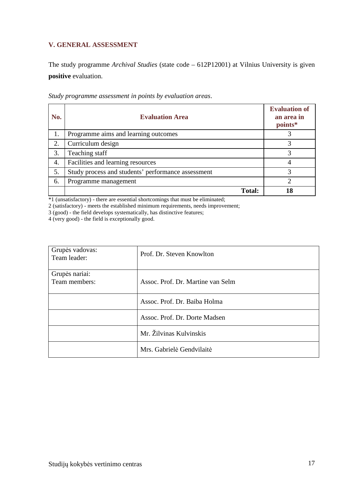# **V. GENERAL ASSESSMENT**

The study programme *Archival Studies* (state code – 612P12001) at Vilnius University is given **positive** evaluation.

| No. | <b>Evaluation Area</b>                             | <b>Evaluation of</b><br>an area in<br>points* |
|-----|----------------------------------------------------|-----------------------------------------------|
| 1.  | Programme aims and learning outcomes               |                                               |
| 2.  | Curriculum design                                  | 3                                             |
| 3.  | Teaching staff                                     |                                               |
| 4.  | Facilities and learning resources                  |                                               |
| 5.  | Study process and students' performance assessment | 3                                             |
| 6.  | Programme management                               | ◠                                             |
|     | <b>Total:</b>                                      | 18                                            |

*Study programme assessment in points by evaluation areas*.

\*1 (unsatisfactory) - there are essential shortcomings that must be eliminated;

2 (satisfactory) - meets the established minimum requirements, needs improvement;

3 (good) - the field develops systematically, has distinctive features;

4 (very good) - the field is exceptionally good.

| Grupės vadovas:<br>Team leader: | Prof. Dr. Steven Knowlton         |
|---------------------------------|-----------------------------------|
| Grupės nariai:<br>Team members: | Assoc. Prof. Dr. Martine van Selm |
|                                 |                                   |
|                                 | Assoc. Prof. Dr. Baiba Holma      |
|                                 | Assoc. Prof. Dr. Dorte Madsen     |
|                                 | Mr. Žilvinas Kulvinskis           |
|                                 | Mrs. Gabrielė Gendvilaitė         |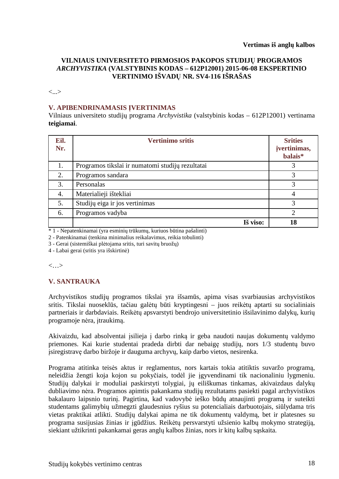# **VILNIAUS UNIVERSITETO PIRMOSIOS PAKOPOS STUDIJŲ PROGRAMOS**  *ARCHYVISTIKA* **(VALSTYBINIS KODAS – 612P12001) 2015-06-08 EKSPERTINIO VERTINIMO IŠVADŲ NR. SV4-116 IŠRAŠAS**

<...>

# **V. APIBENDRINAMASIS ĮVERTINIMAS**

Vilniaus universiteto studijų programa *Archyvistika* (valstybinis kodas – 612P12001) vertinama **teigiamai**.

| Eil.<br>Nr. | <b>Vertinimo sritis</b>                          | <b>Srities</b><br>jvertinimas,<br>balais* |
|-------------|--------------------------------------------------|-------------------------------------------|
| 1.          | Programos tikslai ir numatomi studijų rezultatai |                                           |
| 2.          | Programos sandara                                | 3                                         |
| 3.          | Personalas                                       | 3                                         |
| 4.          | Materialieji ištekliai                           | 4                                         |
| 5.          | Studijų eiga ir jos vertinimas                   | 3                                         |
| 6.          | Programos vadyba                                 | $\overline{2}$                            |
|             | Iš viso:                                         | 18                                        |

\* 1 - Nepatenkinamai (yra esminių trūkumų, kuriuos būtina pašalinti)

2 - Patenkinamai (tenkina minimalius reikalavimus, reikia tobulinti)

3 - Gerai (sistemiškai plėtojama sritis, turi savitų bruožų)

4 - Labai gerai (sritis yra išskirtinė)

<…>

# **V. SANTRAUKA**

Archyvistikos studijų programos tikslai yra išsamūs, apima visas svarbiausias archyvistikos sritis. Tikslai nuoseklūs, tačiau galėtų būti kryptingesni – juos reikėtų aptarti su socialiniais partneriais ir darbdaviais. Reikėtų apsvarstyti bendrojo universitetinio išsilavinimo dalykų, kurių programoje nėra, įtraukimą.

Akivaizdu, kad absolventai įsilieja į darbo rinką ir geba naudoti naujas dokumentų valdymo priemones. Kai kurie studentai pradeda dirbti dar nebaigę studijų, nors 1/3 studentų buvo įsiregistravę darbo biržoje ir dauguma archyvų, kaip darbo vietos, nesirenka.

Programa atitinka teisės aktus ir reglamentus, nors kartais tokia atitiktis suvaržo programą, neleidžia žengti koja kojon su pokyčiais, todėl jie įgyvendinami tik nacionaliniu lygmeniu. Studijų dalykai ir moduliai paskirstyti tolygiai, jų eiliškumas tinkamas, akivaizdaus dalykų dubliavimo nėra. Programos apimtis pakankama studijų rezultatams pasiekti pagal archyvistikos bakalauro laipsnio turinį. Pagirtina, kad vadovybė ieško būdų atnaujinti programą ir suteikti studentams galimybių užmegzti glaudesnius ryšius su potencialiais darbuotojais, siūlydama tris vietas praktikai atlikti. Studijų dalykai apima ne tik dokumentų valdymą, bet ir platesnes su programa susijusias žinias ir įgūdžius. Reikėtų persvarstyti užsienio kalbų mokymo strategiją, siekiant užtikrinti pakankamai geras anglų kalbos žinias, nors ir kitų kalbų sąskaita.